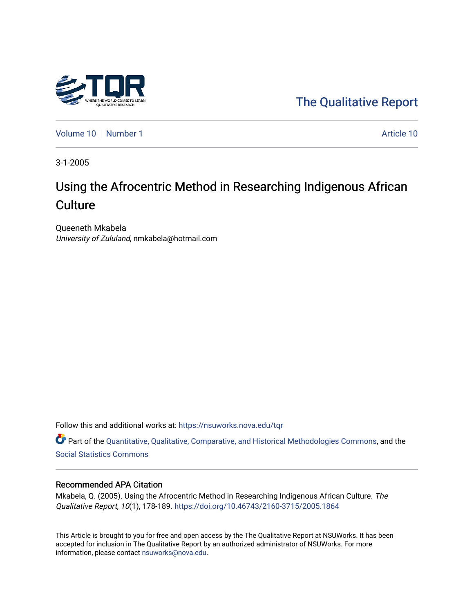

[The Qualitative Report](https://nsuworks.nova.edu/tqr) 

[Volume 10](https://nsuworks.nova.edu/tqr/vol10) [Number 1](https://nsuworks.nova.edu/tqr/vol10/iss1) Article 10

3-1-2005

# Using the Afrocentric Method in Researching Indigenous African **Culture**

Queeneth Mkabela University of Zululand, nmkabela@hotmail.com

Follow this and additional works at: [https://nsuworks.nova.edu/tqr](https://nsuworks.nova.edu/tqr?utm_source=nsuworks.nova.edu%2Ftqr%2Fvol10%2Fiss1%2F10&utm_medium=PDF&utm_campaign=PDFCoverPages) 

Part of the [Quantitative, Qualitative, Comparative, and Historical Methodologies Commons,](http://network.bepress.com/hgg/discipline/423?utm_source=nsuworks.nova.edu%2Ftqr%2Fvol10%2Fiss1%2F10&utm_medium=PDF&utm_campaign=PDFCoverPages) and the [Social Statistics Commons](http://network.bepress.com/hgg/discipline/1275?utm_source=nsuworks.nova.edu%2Ftqr%2Fvol10%2Fiss1%2F10&utm_medium=PDF&utm_campaign=PDFCoverPages) 

#### Recommended APA Citation

Mkabela, Q. (2005). Using the Afrocentric Method in Researching Indigenous African Culture. The Qualitative Report, 10(1), 178-189.<https://doi.org/10.46743/2160-3715/2005.1864>

This Article is brought to you for free and open access by the The Qualitative Report at NSUWorks. It has been accepted for inclusion in The Qualitative Report by an authorized administrator of NSUWorks. For more information, please contact [nsuworks@nova.edu.](mailto:nsuworks@nova.edu)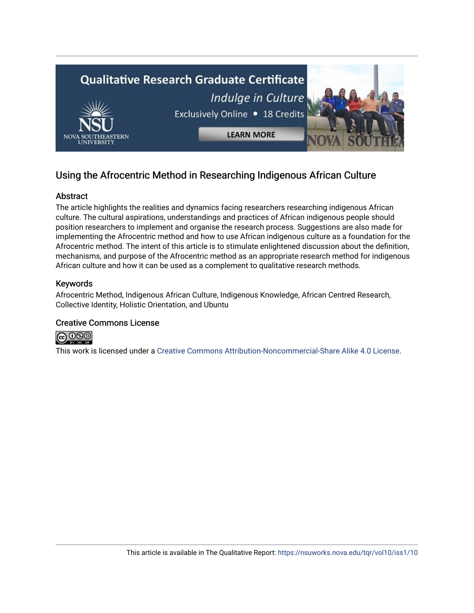

## Using the Afrocentric Method in Researching Indigenous African Culture

## Abstract

The article highlights the realities and dynamics facing researchers researching indigenous African culture. The cultural aspirations, understandings and practices of African indigenous people should position researchers to implement and organise the research process. Suggestions are also made for implementing the Afrocentric method and how to use African indigenous culture as a foundation for the Afrocentric method. The intent of this article is to stimulate enlightened discussion about the definition, mechanisms, and purpose of the Afrocentric method as an appropriate research method for indigenous African culture and how it can be used as a complement to qualitative research methods.

## Keywords

Afrocentric Method, Indigenous African Culture, Indigenous Knowledge, African Centred Research, Collective Identity, Holistic Orientation, and Ubuntu

## Creative Commons License



This work is licensed under a [Creative Commons Attribution-Noncommercial-Share Alike 4.0 License](https://creativecommons.org/licenses/by-nc-sa/4.0/).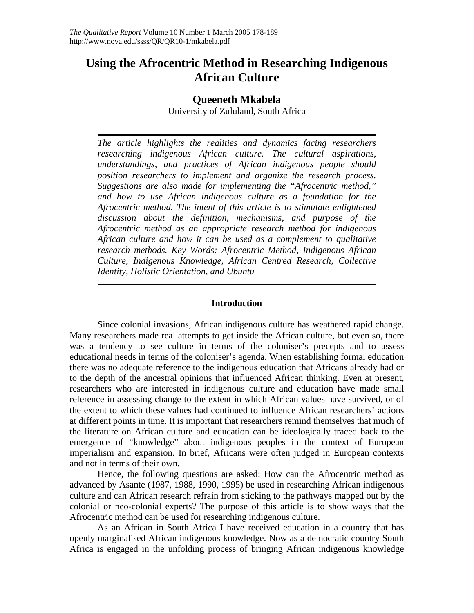## **Using the Afrocentric Method in Researching Indigenous African Culture**

## **Queeneth Mkabela**

University of Zululand, South Africa

*The article highlights the realities and dynamics facing researchers researching indigenous African culture. The cultural aspirations, understandings, and practices of African indigenous people should position researchers to implement and organize the research process. Suggestions are also made for implementing the "Afrocentric method," and how to use African indigenous culture as a foundation for the Afrocentric method. The intent of this article is to stimulate enlightened discussion about the definition, mechanisms, and purpose of the Afrocentric method as an appropriate research method for indigenous African culture and how it can be used as a complement to qualitative research methods. Key Words: Afrocentric Method, Indigenous African Culture, Indigenous Knowledge, African Centred Research, Collective Identity, Holistic Orientation, and Ubuntu* 

### **Introduction**

Since colonial invasions, African indigenous culture has weathered rapid change. Many researchers made real attempts to get inside the African culture, but even so, there was a tendency to see culture in terms of the coloniser's precepts and to assess educational needs in terms of the coloniser's agenda. When establishing formal education there was no adequate reference to the indigenous education that Africans already had or to the depth of the ancestral opinions that influenced African thinking. Even at present, researchers who are interested in indigenous culture and education have made small reference in assessing change to the extent in which African values have survived, or of the extent to which these values had continued to influence African researchers' actions at different points in time. It is important that researchers remind themselves that much of the literature on African culture and education can be ideologically traced back to the emergence of "knowledge" about indigenous peoples in the context of European imperialism and expansion. In brief, Africans were often judged in European contexts and not in terms of their own.

Hence, the following questions are asked: How can the Afrocentric method as advanced by Asante (1987, 1988, 1990, 1995) be used in researching African indigenous culture and can African research refrain from sticking to the pathways mapped out by the colonial or neo-colonial experts? The purpose of this article is to show ways that the Afrocentric method can be used for researching indigenous culture.

As an African in South Africa I have received education in a country that has openly marginalised African indigenous knowledge. Now as a democratic country South Africa is engaged in the unfolding process of bringing African indigenous knowledge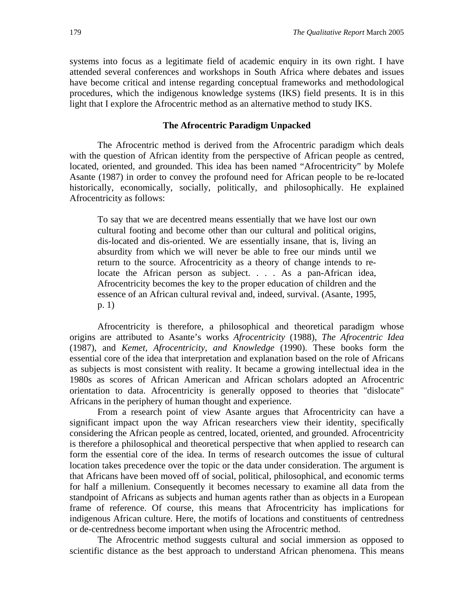systems into focus as a legitimate field of academic enquiry in its own right. I have attended several conferences and workshops in South Africa where debates and issues have become critical and intense regarding conceptual frameworks and methodological procedures, which the indigenous knowledge systems (IKS) field presents. It is in this light that I explore the Afrocentric method as an alternative method to study IKS.

#### **The Afrocentric Paradigm Unpacked**

The Afrocentric method is derived from the Afrocentric paradigm which deals with the question of African identity from the perspective of African people as centred, located, oriented, and grounded. This idea has been named "Afrocentricity" by Molefe Asante (1987) in order to convey the profound need for African people to be re-located historically, economically, socially, politically, and philosophically. He explained Afrocentricity as follows:

To say that we are decentred means essentially that we have lost our own cultural footing and become other than our cultural and political origins, dis-located and dis-oriented. We are essentially insane, that is, living an absurdity from which we will never be able to free our minds until we return to the source. Afrocentricity as a theory of change intends to relocate the African person as subject. . . . As a pan-African idea, Afrocentricity becomes the key to the proper education of children and the essence of an African cultural revival and, indeed, survival. (Asante, 1995, p. 1)

Afrocentricity is therefore, a philosophical and theoretical paradigm whose origins are attributed to Asante's works *Afrocentricity* (1988), *The Afrocentric Idea* (1987), and *Kemet, Afrocentricity, and Knowledge* (1990). These books form the essential core of the idea that interpretation and explanation based on the role of Africans as subjects is most consistent with reality. It became a growing intellectual idea in the 1980s as scores of African American and African scholars adopted an Afrocentric orientation to data. Afrocentricity is generally opposed to theories that "dislocate" Africans in the periphery of human thought and experience.

From a research point of view Asante argues that Afrocentricity can have a significant impact upon the way African researchers view their identity, specifically considering the African people as centred, located, oriented, and grounded. Afrocentricity is therefore a philosophical and theoretical perspective that when applied to research can form the essential core of the idea. In terms of research outcomes the issue of cultural location takes precedence over the topic or the data under consideration. The argument is that Africans have been moved off of social, political, philosophical, and economic terms for half a millenium. Consequently it becomes necessary to examine all data from the standpoint of Africans as subjects and human agents rather than as objects in a European frame of reference. Of course, this means that Afrocentricity has implications for indigenous African culture. Here, the motifs of locations and constituents of centredness or de-centredness become important when using the Afrocentric method.

The Afrocentric method suggests cultural and social immersion as opposed to scientific distance as the best approach to understand African phenomena. This means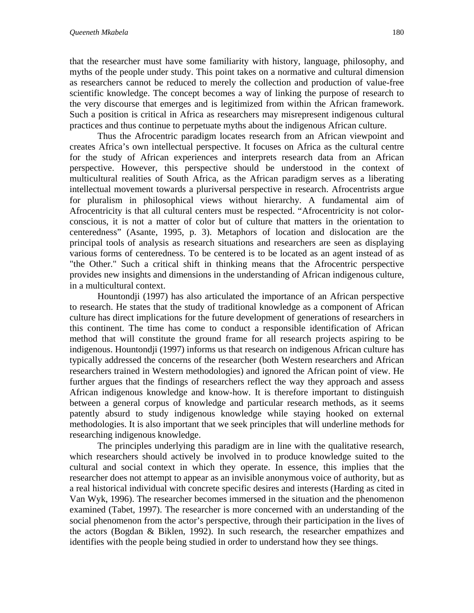that the researcher must have some familiarity with history, language, philosophy, and myths of the people under study. This point takes on a normative and cultural dimension as researchers cannot be reduced to merely the collection and production of value-free scientific knowledge. The concept becomes a way of linking the purpose of research to the very discourse that emerges and is legitimized from within the African framework. Such a position is critical in Africa as researchers may misrepresent indigenous cultural practices and thus continue to perpetuate myths about the indigenous African culture.

Thus the Afrocentric paradigm locates research from an African viewpoint and creates Africa's own intellectual perspective. It focuses on Africa as the cultural centre for the study of African experiences and interprets research data from an African perspective. However, this perspective should be understood in the context of multicultural realities of South Africa, as the African paradigm serves as a liberating intellectual movement towards a pluriversal perspective in research. Afrocentrists argue for pluralism in philosophical views without hierarchy. A fundamental aim of Afrocentricity is that all cultural centers must be respected. "Afrocentricity is not colorconscious, it is not a matter of color but of culture that matters in the orientation to centeredness" (Asante, 1995, p. 3). Metaphors of location and dislocation are the principal tools of analysis as research situations and researchers are seen as displaying various forms of centeredness. To be centered is to be located as an agent instead of as "the Other." Such a critical shift in thinking means that the Afrocentric perspective provides new insights and dimensions in the understanding of African indigenous culture, in a multicultural context.

Hountondji (1997) has also articulated the importance of an African perspective to research. He states that the study of traditional knowledge as a component of African culture has direct implications for the future development of generations of researchers in this continent. The time has come to conduct a responsible identification of African method that will constitute the ground frame for all research projects aspiring to be indigenous. Hountondji (1997) informs us that research on indigenous African culture has typically addressed the concerns of the researcher (both Western researchers and African researchers trained in Western methodologies) and ignored the African point of view. He further argues that the findings of researchers reflect the way they approach and assess African indigenous knowledge and know-how. It is therefore important to distinguish between a general corpus of knowledge and particular research methods, as it seems patently absurd to study indigenous knowledge while staying hooked on external methodologies. It is also important that we seek principles that will underline methods for researching indigenous knowledge.

The principles underlying this paradigm are in line with the qualitative research, which researchers should actively be involved in to produce knowledge suited to the cultural and social context in which they operate. In essence, this implies that the researcher does not attempt to appear as an invisible anonymous voice of authority, but as a real historical individual with concrete specific desires and interests (Harding as cited in Van Wyk, 1996). The researcher becomes immersed in the situation and the phenomenon examined (Tabet, 1997). The researcher is more concerned with an understanding of the social phenomenon from the actor's perspective, through their participation in the lives of the actors (Bogdan & Biklen, 1992). In such research, the researcher empathizes and identifies with the people being studied in order to understand how they see things.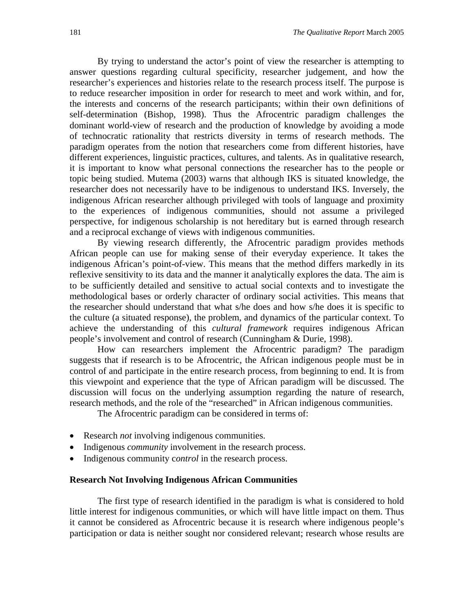By trying to understand the actor's point of view the researcher is attempting to answer questions regarding cultural specificity, researcher judgement, and how the researcher's experiences and histories relate to the research process itself. The purpose is to reduce researcher imposition in order for research to meet and work within, and for, the interests and concerns of the research participants; within their own definitions of self-determination (Bishop, 1998). Thus the Afrocentric paradigm challenges the dominant world-view of research and the production of knowledge by avoiding a mode of technocratic rationality that restricts diversity in terms of research methods. The paradigm operates from the notion that researchers come from different histories, have different experiences, linguistic practices, cultures, and talents. As in qualitative research, it is important to know what personal connections the researcher has to the people or topic being studied. Mutema (2003) warns that although IKS is situated knowledge, the researcher does not necessarily have to be indigenous to understand IKS. Inversely, the indigenous African researcher although privileged with tools of language and proximity to the experiences of indigenous communities, should not assume a privileged perspective, for indigenous scholarship is not hereditary but is earned through research and a reciprocal exchange of views with indigenous communities.

By viewing research differently, the Afrocentric paradigm provides methods African people can use for making sense of their everyday experience. It takes the indigenous African's point-of-view. This means that the method differs markedly in its reflexive sensitivity to its data and the manner it analytically explores the data. The aim is to be sufficiently detailed and sensitive to actual social contexts and to investigate the methodological bases or orderly character of ordinary social activities. This means that the researcher should understand that what s/he does and how s/he does it is specific to the culture (a situated response), the problem, and dynamics of the particular context. To achieve the understanding of this *cultural framework* requires indigenous African people's involvement and control of research (Cunningham & Durie, 1998).

How can researchers implement the Afrocentric paradigm? The paradigm suggests that if research is to be Afrocentric, the African indigenous people must be in control of and participate in the entire research process, from beginning to end. It is from this viewpoint and experience that the type of African paradigm will be discussed. The discussion will focus on the underlying assumption regarding the nature of research, research methods, and the role of the "researched" in African indigenous communities.

The Afrocentric paradigm can be considered in terms of:

- Research *not* involving indigenous communities.
- Indigenous *community* involvement in the research process.
- Indigenous community c*ontrol* in the research process.

#### **Research Not Involving Indigenous African Communities**

The first type of research identified in the paradigm is what is considered to hold little interest for indigenous communities, or which will have little impact on them. Thus it cannot be considered as Afrocentric because it is research where indigenous people's participation or data is neither sought nor considered relevant; research whose results are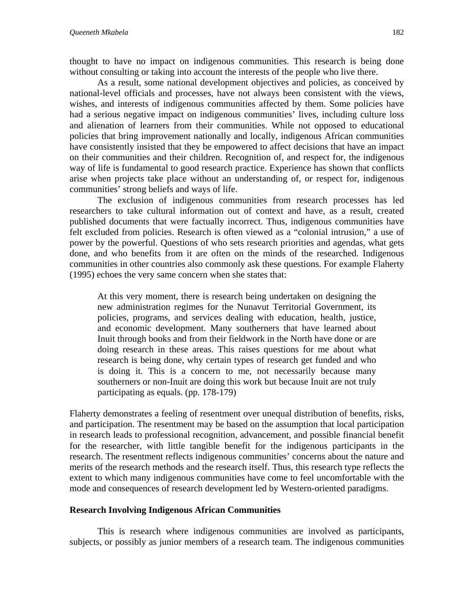thought to have no impact on indigenous communities. This research is being done without consulting or taking into account the interests of the people who live there.

As a result, some national development objectives and policies, as conceived by national-level officials and processes, have not always been consistent with the views, wishes, and interests of indigenous communities affected by them. Some policies have had a serious negative impact on indigenous communities' lives, including culture loss and alienation of learners from their communities. While not opposed to educational policies that bring improvement nationally and locally, indigenous African communities have consistently insisted that they be empowered to affect decisions that have an impact on their communities and their children. Recognition of, and respect for, the indigenous way of life is fundamental to good research practice. Experience has shown that conflicts arise when projects take place without an understanding of, or respect for, indigenous communities' strong beliefs and ways of life.

The exclusion of indigenous communities from research processes has led researchers to take cultural information out of context and have, as a result, created published documents that were factually incorrect. Thus, indigenous communities have felt excluded from policies. Research is often viewed as a "colonial intrusion," a use of power by the powerful. Questions of who sets research priorities and agendas, what gets done, and who benefits from it are often on the minds of the researched. Indigenous communities in other countries also commonly ask these questions. For example Flaherty (1995) echoes the very same concern when she states that:

At this very moment, there is research being undertaken on designing the new administration regimes for the Nunavut Territorial Government, its policies, programs, and services dealing with education, health, justice, and economic development. Many southerners that have learned about Inuit through books and from their fieldwork in the North have done or are doing research in these areas. This raises questions for me about what research is being done, why certain types of research get funded and who is doing it. This is a concern to me, not necessarily because many southerners or non-Inuit are doing this work but because Inuit are not truly participating as equals. (pp. 178-179)

Flaherty demonstrates a feeling of resentment over unequal distribution of benefits, risks, and participation. The resentment may be based on the assumption that local participation in research leads to professional recognition, advancement, and possible financial benefit for the researcher, with little tangible benefit for the indigenous participants in the research. The resentment reflects indigenous communities' concerns about the nature and merits of the research methods and the research itself. Thus, this research type reflects the extent to which many indigenous communities have come to feel uncomfortable with the mode and consequences of research development led by Western-oriented paradigms.

#### **Research Involving Indigenous African Communities**

This is research where indigenous communities are involved as participants, subjects, or possibly as junior members of a research team. The indigenous communities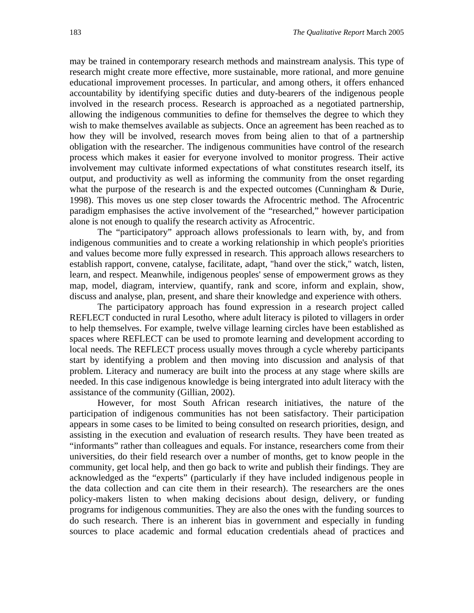may be trained in contemporary research methods and mainstream analysis. This type of research might create more effective, more sustainable, more rational, and more genuine educational improvement processes. In particular, and among others, it offers enhanced accountability by identifying specific duties and duty-bearers of the indigenous people involved in the research process. Research is approached as a negotiated partnership, allowing the indigenous communities to define for themselves the degree to which they wish to make themselves available as subjects. Once an agreement has been reached as to how they will be involved, research moves from being alien to that of a partnership obligation with the researcher. The indigenous communities have control of the research process which makes it easier for everyone involved to monitor progress. Their active involvement may cultivate informed expectations of what constitutes research itself, its output, and productivity as well as informing the community from the onset regarding what the purpose of the research is and the expected outcomes (Cunningham & Durie, 1998). This moves us one step closer towards the Afrocentric method. The Afrocentric paradigm emphasises the active involvement of the "researched," however participation alone is not enough to qualify the research activity as Afrocentric.

The "participatory" approach allows professionals to learn with, by, and from indigenous communities and to create a working relationship in which people's priorities and values become more fully expressed in research. This approach allows researchers to establish rapport, convene, catalyse, facilitate, adapt, "hand over the stick," watch, listen, learn, and respect. Meanwhile, indigenous peoples' sense of empowerment grows as they map, model, diagram, interview, quantify, rank and score, inform and explain, show, discuss and analyse, plan, present, and share their knowledge and experience with others.

The participatory approach has found expression in a research project called REFLECT conducted in rural Lesotho, where adult literacy is piloted to villagers in order to help themselves. For example, twelve village learning circles have been established as spaces where REFLECT can be used to promote learning and development according to local needs. The REFLECT process usually moves through a cycle whereby participants start by identifying a problem and then moving into discussion and analysis of that problem. Literacy and numeracy are built into the process at any stage where skills are needed. In this case indigenous knowledge is being intergrated into adult literacy with the assistance of the community (Gillian, 2002).

However, for most South African research initiatives, the nature of the participation of indigenous communities has not been satisfactory. Their participation appears in some cases to be limited to being consulted on research priorities, design, and assisting in the execution and evaluation of research results. They have been treated as "informants" rather than colleagues and equals. For instance, researchers come from their universities, do their field research over a number of months, get to know people in the community, get local help, and then go back to write and publish their findings. They are acknowledged as the "experts" (particularly if they have included indigenous people in the data collection and can cite them in their research). The researchers are the ones policy-makers listen to when making decisions about design, delivery, or funding programs for indigenous communities. They are also the ones with the funding sources to do such research. There is an inherent bias in government and especially in funding sources to place academic and formal education credentials ahead of practices and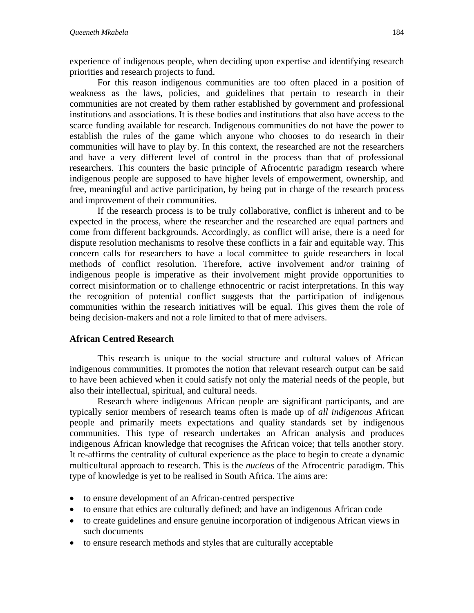experience of indigenous people, when deciding upon expertise and identifying research priorities and research projects to fund.

For this reason indigenous communities are too often placed in a position of weakness as the laws, policies, and guidelines that pertain to research in their communities are not created by them rather established by government and professional institutions and associations. It is these bodies and institutions that also have access to the scarce funding available for research. Indigenous communities do not have the power to establish the rules of the game which anyone who chooses to do research in their communities will have to play by. In this context, the researched are not the researchers and have a very different level of control in the process than that of professional researchers. This counters the basic principle of Afrocentric paradigm research where indigenous people are supposed to have higher levels of empowerment, ownership, and free, meaningful and active participation, by being put in charge of the research process and improvement of their communities.

If the research process is to be truly collaborative, conflict is inherent and to be expected in the process, where the researcher and the researched are equal partners and come from different backgrounds. Accordingly, as conflict will arise, there is a need for dispute resolution mechanisms to resolve these conflicts in a fair and equitable way. This concern calls for researchers to have a local committee to guide researchers in local methods of conflict resolution. Therefore, active involvement and/or training of indigenous people is imperative as their involvement might provide opportunities to correct misinformation or to challenge ethnocentric or racist interpretations. In this way the recognition of potential conflict suggests that the participation of indigenous communities within the research initiatives will be equal. This gives them the role of being decision-makers and not a role limited to that of mere advisers.

## **African Centred Research**

This research is unique to the social structure and cultural values of African indigenous communities. It promotes the notion that relevant research output can be said to have been achieved when it could satisfy not only the material needs of the people, but also their intellectual, spiritual, and cultural needs.

Research where indigenous African people are significant participants, and are typically senior members of research teams often is made up of *all indigenous* African people and primarily meets expectations and quality standards set by indigenous communities. This type of research undertakes an African analysis and produces indigenous African knowledge that recognises the African voice; that tells another story. It re-affirms the centrality of cultural experience as the place to begin to create a dynamic multicultural approach to research. This is the *nucleus* of the Afrocentric paradigm. This type of knowledge is yet to be realised in South Africa. The aims are:

- to ensure development of an African-centred perspective
- to ensure that ethics are culturally defined; and have an indigenous African code
- to create guidelines and ensure genuine incorporation of indigenous African views in such documents
- to ensure research methods and styles that are culturally acceptable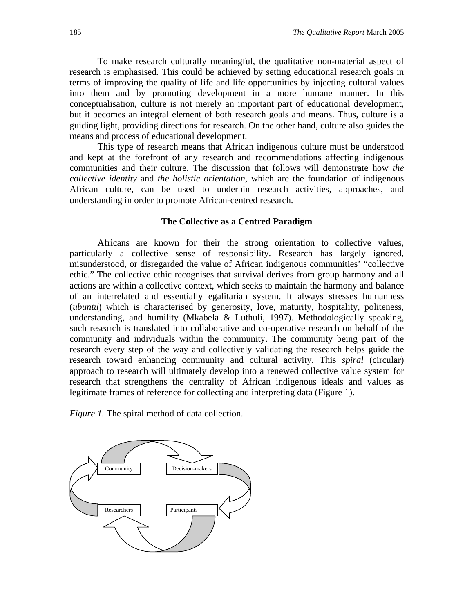To make research culturally meaningful, the qualitative non-material aspect of research is emphasised. This could be achieved by setting educational research goals in terms of improving the quality of life and life opportunities by injecting cultural values into them and by promoting development in a more humane manner. In this conceptualisation, culture is not merely an important part of educational development, but it becomes an integral element of both research goals and means. Thus, culture is a guiding light, providing directions for research. On the other hand, culture also guides the means and process of educational development.

This type of research means that African indigenous culture must be understood and kept at the forefront of any research and recommendations affecting indigenous communities and their culture. The discussion that follows will demonstrate how *the collective identity* and *the holistic orientation*, which are the foundation of indigenous African culture, can be used to underpin research activities, approaches, and understanding in order to promote African-centred research.

#### **The Collective as a Centred Paradigm**

Africans are known for their the strong orientation to collective values, particularly a collective sense of responsibility. Research has largely ignored, misunderstood, or disregarded the value of African indigenous communities' "collective ethic." The collective ethic recognises that survival derives from group harmony and all actions are within a collective context, which seeks to maintain the harmony and balance of an interrelated and essentially egalitarian system. It always stresses humanness (*ubuntu*) which is characterised by generosity, love, maturity, hospitality, politeness, understanding, and humility (Mkabela & Luthuli, 1997). Methodologically speaking, such research is translated into collaborative and co-operative research on behalf of the community and individuals within the community. The community being part of the research every step of the way and collectively validating the research helps guide the research toward enhancing community and cultural activity. This *spiral* (circular) approach to research will ultimately develop into a renewed collective value system for research that strengthens the centrality of African indigenous ideals and values as legitimate frames of reference for collecting and interpreting data (Figure 1).

*Figure 1.* The spiral method of data collection.

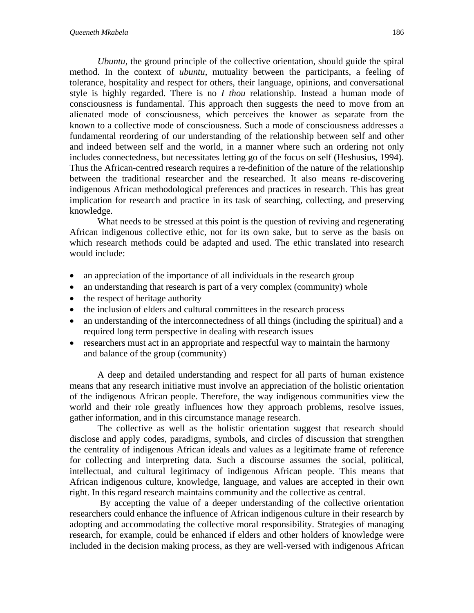*Ubuntu*, the ground principle of the collective orientation, should guide the spiral method. In the context of *ubuntu*, mutuality between the participants, a feeling of tolerance, hospitality and respect for others, their language, opinions, and conversational style is highly regarded. There is no *I thou* relationship. Instead a human mode of consciousness is fundamental. This approach then suggests the need to move from an alienated mode of consciousness, which perceives the knower as separate from the known to a collective mode of consciousness. Such a mode of consciousness addresses a fundamental reordering of our understanding of the relationship between self and other and indeed between self and the world, in a manner where such an ordering not only includes connectedness, but necessitates letting go of the focus on self (Heshusius, 1994). Thus the African-centred research requires a re-definition of the nature of the relationship between the traditional researcher and the researched. It also means re-discovering indigenous African methodological preferences and practices in research. This has great implication for research and practice in its task of searching, collecting, and preserving knowledge.

What needs to be stressed at this point is the question of reviving and regenerating African indigenous collective ethic, not for its own sake, but to serve as the basis on which research methods could be adapted and used. The ethic translated into research would include:

- an appreciation of the importance of all individuals in the research group
- an understanding that research is part of a very complex (community) whole
- the respect of heritage authority
- the inclusion of elders and cultural committees in the research process
- an understanding of the interconnectedness of all things (including the spiritual) and a required long term perspective in dealing with research issues
- researchers must act in an appropriate and respectful way to maintain the harmony and balance of the group (community)

A deep and detailed understanding and respect for all parts of human existence means that any research initiative must involve an appreciation of the holistic orientation of the indigenous African people. Therefore, the way indigenous communities view the world and their role greatly influences how they approach problems, resolve issues, gather information, and in this circumstance manage research.

The collective as well as the holistic orientation suggest that research should disclose and apply codes, paradigms, symbols, and circles of discussion that strengthen the centrality of indigenous African ideals and values as a legitimate frame of reference for collecting and interpreting data. Such a discourse assumes the social, political, intellectual, and cultural legitimacy of indigenous African people. This means that African indigenous culture, knowledge, language, and values are accepted in their own right. In this regard research maintains community and the collective as central.

 By accepting the value of a deeper understanding of the collective orientation researchers could enhance the influence of African indigenous culture in their research by adopting and accommodating the collective moral responsibility. Strategies of managing research, for example, could be enhanced if elders and other holders of knowledge were included in the decision making process, as they are well-versed with indigenous African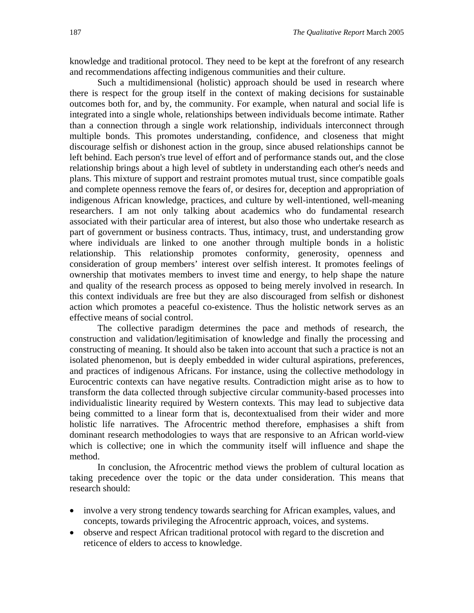knowledge and traditional protocol. They need to be kept at the forefront of any research and recommendations affecting indigenous communities and their culture.

Such a multidimensional (holistic) approach should be used in research where there is respect for the group itself in the context of making decisions for sustainable outcomes both for, and by, the community. For example, when natural and social life is integrated into a single whole, relationships between individuals become intimate. Rather than a connection through a single work relationship, individuals interconnect through multiple bonds. This promotes understanding, confidence, and closeness that might discourage selfish or dishonest action in the group, since abused relationships cannot be left behind. Each person's true level of effort and of performance stands out, and the close relationship brings about a high level of subtlety in understanding each other's needs and plans. This mixture of support and restraint promotes mutual trust, since compatible goals and complete openness remove the fears of, or desires for, deception and appropriation of indigenous African knowledge, practices, and culture by well-intentioned, well-meaning researchers. I am not only talking about academics who do fundamental research associated with their particular area of interest, but also those who undertake research as part of government or business contracts. Thus, intimacy, trust, and understanding grow where individuals are linked to one another through multiple bonds in a holistic relationship. This relationship promotes conformity, generosity, openness and consideration of group members' interest over selfish interest. It promotes feelings of ownership that motivates members to invest time and energy, to help shape the nature and quality of the research process as opposed to being merely involved in research. In this context individuals are free but they are also discouraged from selfish or dishonest action which promotes a peaceful co-existence. Thus the holistic network serves as an effective means of social control.

The collective paradigm determines the pace and methods of research, the construction and validation/legitimisation of knowledge and finally the processing and constructing of meaning. It should also be taken into account that such a practice is not an isolated phenomenon, but is deeply embedded in wider cultural aspirations, preferences, and practices of indigenous Africans. For instance, using the collective methodology in Eurocentric contexts can have negative results. Contradiction might arise as to how to transform the data collected through subjective circular community-based processes into individualistic linearity required by Western contexts. This may lead to subjective data being committed to a linear form that is, decontextualised from their wider and more holistic life narratives. The Afrocentric method therefore, emphasises a shift from dominant research methodologies to ways that are responsive to an African world-view which is collective; one in which the community itself will influence and shape the method.

In conclusion, the Afrocentric method views the problem of cultural location as taking precedence over the topic or the data under consideration. This means that research should:

- involve a very strong tendency towards searching for African examples, values, and concepts, towards privileging the Afrocentric approach, voices, and systems.
- observe and respect African traditional protocol with regard to the discretion and reticence of elders to access to knowledge.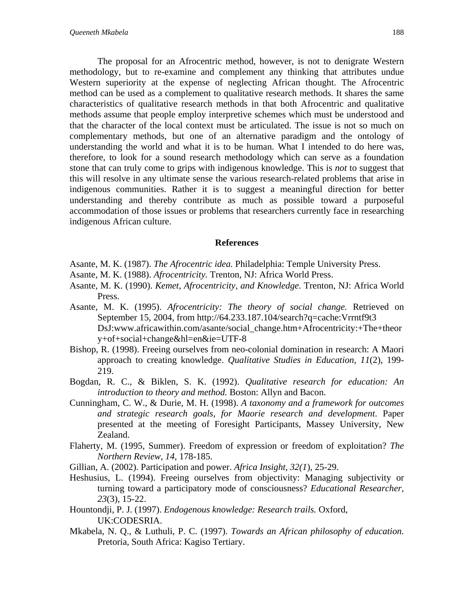The proposal for an Afrocentric method, however, is not to denigrate Western methodology, but to re-examine and complement any thinking that attributes undue Western superiority at the expense of neglecting African thought. The Afrocentric method can be used as a complement to qualitative research methods. It shares the same characteristics of qualitative research methods in that both Afrocentric and qualitative methods assume that people employ interpretive schemes which must be understood and that the character of the local context must be articulated. The issue is not so much on complementary methods, but one of an alternative paradigm and the ontology of understanding the world and what it is to be human. What I intended to do here was, therefore, to look for a sound research methodology which can serve as a foundation stone that can truly come to grips with indigenous knowledge. This is *not* to suggest that this will resolve in any ultimate sense the various research-related problems that arise in indigenous communities. Rather it is to suggest a meaningful direction for better understanding and thereby contribute as much as possible toward a purposeful accommodation of those issues or problems that researchers currently face in researching indigenous African culture.

#### **References**

- Asante, M. K. (1987). *The Afrocentric idea.* Philadelphia: Temple University Press.
- Asante, M. K. (1988). *Afrocentricity.* Trenton, NJ: Africa World Press.
- Asante, M. K. (1990). *Kemet*, *Afrocentricity, and Knowledge.* Trenton, NJ: Africa World Press.
- Asante, M. K. (1995). *Afrocentricity: The theory of social change.* Retrieved on September 15, 2004, from http://64.233.187.104/search?q=cache:Vrrntf9t3 DsJ:www.africawithin.com/asante/social\_change.htm+Afrocentricity:+The+theor y+of+social+change&hl=en&ie=UTF-8
- Bishop, R. (1998). Freeing ourselves from neo-colonial domination in research: A Maori approach to creating knowledge. *Qualitative Studies in Education, 11*(2), 199- 219.
- Bogdan, R. C., & Biklen, S. K. (1992). *Qualitative research for education: An introduction to theory and method.* Boston: Allyn and Bacon.
- Cunningham, C. W., & Durie, M. H. (1998). *A taxonomy and a framework for outcomes and strategic research goals, for Maorie research and development*. Paper presented at the meeting of Foresight Participants, Massey University, New Zealand.
- Flaherty, M. (1995, Summer). Freedom of expression or freedom of exploitation? *The Northern Review, 14,* 178-185.
- Gillian, A. (2002). Participation and power. *Africa Insight, 32(1*), 25-29.
- Heshusius, L. (1994). Freeing ourselves from objectivity: Managing subjectivity or turning toward a participatory mode of consciousness? *Educational Researcher, 23*(3), 15-22.
- Hountondji, P. J. (1997). *Endogenous knowledge: Research trails.* Oxford, UK:CODESRIA.
- Mkabela, N. Q., & Luthuli, P. C. (1997). *Towards an African philosophy of education.* Pretoria, South Africa: Kagiso Tertiary.